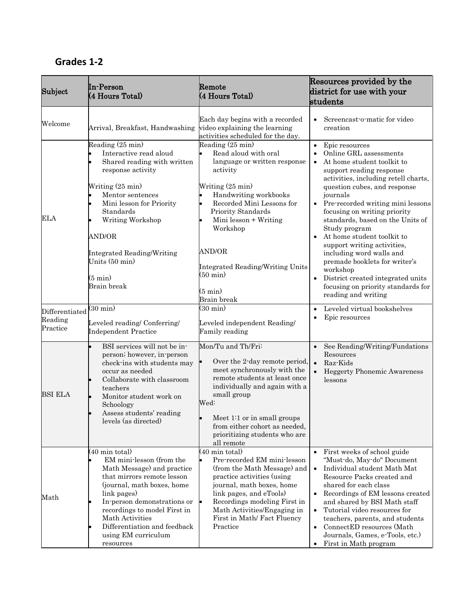## **Grades 1-2**

| Subject                               | In-Person<br>$(4 \text{ Hours Total})$                                                                                                                                                                                                                                                                              | Remote<br>(4 Hours Total)                                                                                                                                                                                                                                                                  | Resources provided by the<br>district for use with your<br>$_{\rm students}$                                                                                                                                                                                                                                                                                                                                                                                                                                                                                                                        |
|---------------------------------------|---------------------------------------------------------------------------------------------------------------------------------------------------------------------------------------------------------------------------------------------------------------------------------------------------------------------|--------------------------------------------------------------------------------------------------------------------------------------------------------------------------------------------------------------------------------------------------------------------------------------------|-----------------------------------------------------------------------------------------------------------------------------------------------------------------------------------------------------------------------------------------------------------------------------------------------------------------------------------------------------------------------------------------------------------------------------------------------------------------------------------------------------------------------------------------------------------------------------------------------------|
| Welcome                               | Arrival, Breakfast, Handwashing                                                                                                                                                                                                                                                                                     | Each day begins with a recorded<br>video explaining the learning<br>activities scheduled for the day.                                                                                                                                                                                      | Screencast-o-matic for video<br>creation                                                                                                                                                                                                                                                                                                                                                                                                                                                                                                                                                            |
| <b>ELA</b>                            | Reading (25 min)<br>Interactive read aloud<br>Shared reading with written<br>response activity                                                                                                                                                                                                                      | Reading (25 min)<br>Read aloud with oral<br>language or written response<br>activity                                                                                                                                                                                                       | Epic resources<br>$\bullet$<br>Online GRL assessments<br>At home student toolkit to<br>$\bullet$<br>support reading response<br>activities, including retell charts,<br>question cubes, and response<br>journals<br>• Pre-recorded writing mini lessons<br>focusing on writing priority<br>standards, based on the Units of<br>Study program<br>At home student toolkit to<br>$\bullet$<br>support writing activities,<br>including word walls and<br>premade booklets for writer's<br>workshop<br>• District created integrated units<br>focusing on priority standards for<br>reading and writing |
|                                       | Writing (25 min)<br>Mentor sentences<br>Mini lesson for Priority<br>Standards<br>Writing Workshop                                                                                                                                                                                                                   | Writing (25 min)<br>Handwriting workbooks<br>Recorded Mini Lessons for<br>Priority Standards<br>Mini lesson + Writing<br>Workshop                                                                                                                                                          |                                                                                                                                                                                                                                                                                                                                                                                                                                                                                                                                                                                                     |
|                                       | AND/OR<br>Integrated Reading/Writing<br>Units (50 min)<br>$(5 \text{ min})$<br>Brain break                                                                                                                                                                                                                          | AND/OR<br><b>Integrated Reading/Writing Units</b><br>$(50 \text{ min})$<br>$(5 \text{ min})$<br>Brain break                                                                                                                                                                                |                                                                                                                                                                                                                                                                                                                                                                                                                                                                                                                                                                                                     |
| Differentiated<br>Reading<br>Practice | $(30 \text{ min})$<br>Leveled reading/ Conferring/<br><b>Independent Practice</b>                                                                                                                                                                                                                                   | $(30 \text{ min})$<br>Leveled independent Reading/<br>Family reading                                                                                                                                                                                                                       | Leveled virtual bookshelves<br>Epic resources                                                                                                                                                                                                                                                                                                                                                                                                                                                                                                                                                       |
| <b>BSI ELA</b>                        | BSI services will not be in-<br>person; however, in-person<br>check-ins with students may<br>occur as needed<br>Collaborate with classroom<br>teachers<br>Monitor student work on<br>Schoology<br>Assess students' reading<br>levels (as directed)                                                                  | Mon/Tu and Th/Fri:<br>Over the 2-day remote period,<br>meet synchronously with the<br>remote students at least once<br>individually and again with a<br>small group<br>Wed:<br>Meet 1:1 or in small groups<br>from either cohort as needed,<br>prioritizing students who are<br>all remote | See Reading/Writing/Fundations<br>Resources<br>$\bullet$<br>Raz-Kids<br><b>Heggerty Phonemic Awareness</b><br>$\bullet$<br>lessons                                                                                                                                                                                                                                                                                                                                                                                                                                                                  |
| Math                                  | $(40 \text{ min total})$<br>EM mini-lesson (from the<br>Math Message) and practice<br>that mirrors remote lesson<br>(journal, math boxes, home<br>link pages)<br>In-person demonstrations or<br>recordings to model First in<br>Math Activities<br>Differentiation and feedback<br>using EM curriculum<br>resources | $(40 \text{ min total})$<br>Pre-recorded EM mini-lesson<br>(from the Math Message) and<br>practice activities (using<br>journal, math boxes, home<br>link pages, and eTools)<br>Recordings modeling First in<br>Math Activities/Engaging in<br>First in Math/Fact Fluency<br>Practice      | First weeks of school guide<br>$\bullet$<br>"Must-do, May-do" Document<br>Individual student Math Mat<br>$\bullet$<br>Resource Packs created and<br>shared for each class<br>Recordings of EM lessons created<br>and shared by BSI Math staff<br>Tutorial video resources for<br>$\bullet$<br>teachers, parents, and students<br>ConnectED resources (Math<br>$\bullet$<br>Journals, Games, e-Tools, etc.)<br>First in Math program<br>$\bullet$                                                                                                                                                    |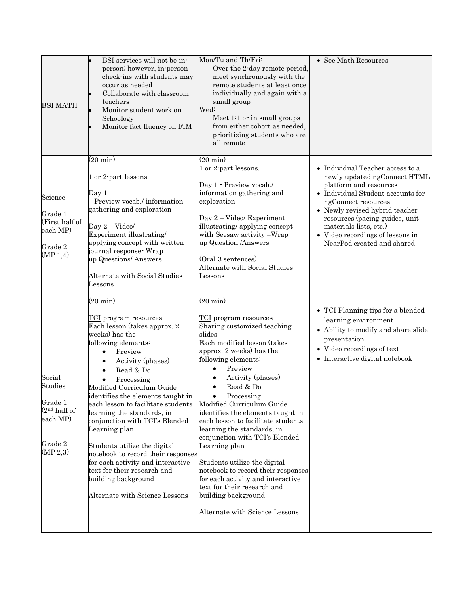| <b>BSI MATH</b>                                                                              | BSI services will not be in-<br>person; however, in-person<br>check-ins with students may<br>occur as needed<br>Collaborate with classroom<br>teachers<br>Monitor student work on<br>Schoology<br>Monitor fact fluency on FIM                                                                                                                                                                                                                                                                                                                                                            | Mon/Tu and Th/Fri:<br>Over the 2-day remote period,<br>meet synchronously with the<br>remote students at least once<br>individually and again with a<br>small group<br>Wed:<br>Meet 1:1 or in small groups<br>from either cohort as needed,<br>prioritizing students who are<br>all remote                                                                                                                                                                                                                                                                                                                                                 | • See Math Resources                                                                                                                                                                                                                                                                                                   |
|----------------------------------------------------------------------------------------------|------------------------------------------------------------------------------------------------------------------------------------------------------------------------------------------------------------------------------------------------------------------------------------------------------------------------------------------------------------------------------------------------------------------------------------------------------------------------------------------------------------------------------------------------------------------------------------------|--------------------------------------------------------------------------------------------------------------------------------------------------------------------------------------------------------------------------------------------------------------------------------------------------------------------------------------------------------------------------------------------------------------------------------------------------------------------------------------------------------------------------------------------------------------------------------------------------------------------------------------------|------------------------------------------------------------------------------------------------------------------------------------------------------------------------------------------------------------------------------------------------------------------------------------------------------------------------|
| Science<br>Grade 1<br>(First half of<br>each MP)<br>Grade 2<br>(MP 1,4)                      | $(20 \text{ min})$<br>1 or 2-part lessons.<br>Day 1<br>- Preview vocab./ information<br>gathering and exploration<br>Day $2 - Video/$<br>Experiment illustrating/<br>applying concept with written<br>journal response- Wrap<br>up Questions/ Answers<br>Alternate with Social Studies<br>Lessons                                                                                                                                                                                                                                                                                        | $(20 \text{ min})$<br>1 or 2-part lessons.<br>Day 1 - Preview vocab./<br>information gathering and<br>exploration<br>Day 2 - Video/ Experiment<br>illustrating/applying concept<br>with Seesaw activity -Wrap<br>up Question /Answers<br>(Oral 3 sentences)<br>Alternate with Social Studies<br>Lessons                                                                                                                                                                                                                                                                                                                                    | • Individual Teacher access to a<br>newly updated ngConnect HTML<br>platform and resources<br>• Individual Student accounts for<br>ngConnect resources<br>• Newly revised hybrid teacher<br>resources (pacing guides, unit<br>materials lists, etc.)<br>• Video recordings of lessons in<br>NearPod created and shared |
| Social<br>Studies<br>Grade 1<br>(2 <sup>nd</sup> half of)<br>each MP)<br>Grade 2<br>(MP 2,3) | $(20 \text{ min})$<br>TCI program resources<br>Each lesson (takes approx. 2<br>weeks) has the<br>following elements:<br>Preview<br>$\bullet$<br>Activity (phases)<br>Read & Do<br>Processing<br>Modified Curriculum Guide<br>identifies the elements taught in<br>each lesson to facilitate students<br>learning the standards, in<br>conjunction with TCI's Blended<br>Learning plan<br>Students utilize the digital<br>notebook to record their responses<br>for each activity and interactive<br>text for their research and<br>building background<br>Alternate with Science Lessons | $(20 \text{ min})$<br>TCI program resources<br>Sharing customized teaching<br>slides<br>Each modified lesson (takes<br>approx. 2 weeks) has the<br>following elements:<br>Preview<br>$\bullet$<br>Activity (phases)<br>Read & Do<br>Processing<br>Modified Curriculum Guide<br>identifies the elements taught in<br>each lesson to facilitate students<br>learning the standards, in<br>conjunction with TCI's Blended<br>Learning plan<br>Students utilize the digital<br>notebook to record their responses<br>for each activity and interactive<br>text for their research and<br>building background<br>Alternate with Science Lessons | • TCI Planning tips for a blended<br>learning environment<br>• Ability to modify and share slide<br>presentation<br>• Video recordings of text<br>• Interactive digital notebook                                                                                                                                       |